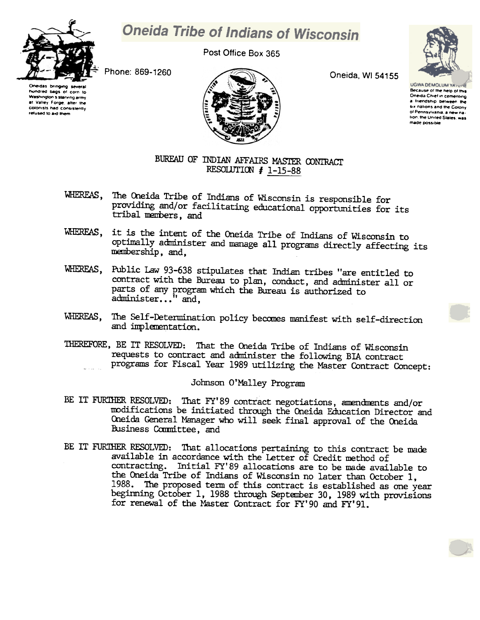

## **Oneida Tribe of Indians of Wisconsin**

Post Office Box 365

Phone: 869-1260





Oneida, WI 54155



**UGWA DEMOLUM YATE** Because of the help of this Oneida Chief in cementing a friendship between the six nations and the Colony of Pennsylvania, a new nation, the United States, was made possible

## BUREAU OF INDIAN AFFAIRS MASTER CONTRACT RESOLUTION  $# 1-15-88$

- WHEREAS, The Oneida Tribe of Indians of Wisconsin is responsible for providing and/or facilitating educational opportunities for its tribal members, and
- WHEREAS, it is the intent of the Oneida Tribe of Indians of Wisconsin to optimally administer and manage all programs directly affecting its membership, and,
- WHEREAS, Public Law 93-638 stipulates that Indian tribes "are entitled to contract with the Bureau to plan, conduct, and administer all or parts of any program which the Bureau is authorized to administer..." and,
- WHEREAS, The Self-Determination policy becomes manifest with self-direction and implementation.
- THEREFORE, BE IT RESOLVED: That the Oneida Tribe of Indians of Wisconsin requests to contract and administer the following BIA contract programs for Fiscal Year 1989 utilizing the Master Contract Concept:

## Johnson O'Malley Program

- BE IT FURTHER RESOLVED: That FY'89 contract negotiations, amendments and/or modifications be initiated through the Oneida Education Director and Oneida General Manager who will seek final approval of the Oneida Business Committee, and
- BE IT FURTHER RESOLVED: That allocations pertaining to this contract be made available in accordance with the Letter of Credit method of contracting. Initial FY'89 allocations are to be made available to the Oneida Tribe of Indians of Wisconsin no later than October 1. 1988. The proposed term of this contract is established as one year beginning October 1, 1988 through September 30, 1989 with provisions for renewal of the Master Contract for FY'90 and FY'91.